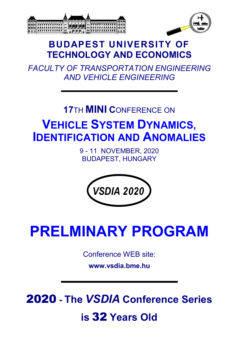



## **BUDAPEST UNIVERSITY OF TECHNOLOGY AND ECONOMICS**

*FACULTY OF TRANSPORTATION ENGINEERING AND VEHICLE ENGINEERING*

## **17**TH **MINI C**ONFERENCE ON **VEHICLE SYSTEM DYNAMICS, IDENTIFICATION AND ANOMALIES**

9 - 11 NOVEMBER, 2020 BUDAPEST, HUNGARY



# **PRELMINARY PROGRAM**

Conference WEB site:

**www.vsdia.bme.hu**

2020 **- The** *VSDIA* **Conference Series**

## **is** 32 **Years Old**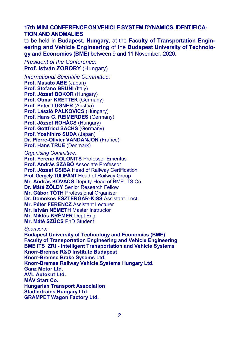**17th MINI CONFERENCE ON VEHICLE SYSTEM DYNAMICS, IDENTIFICA-TION AND ANOMALIES** 

to be held in **Budapest, Hungary**, at the **Faculty of Transportation Engineering and Vehicle Engineering** of the **Budapest University of Technology and Economics (BME)** between 9 and 11 November, 2020.

*President of the Conference:*  **Prof. István ZOBORY** (Hungary)

*International Scientific Committee:*  **Prof. Masato ABE** (Japan) **Prof. Stefano BRUNI** (Italy) **Prof. József BOKOR** (Hungary) **Prof. Otmar KRETTEK** (Germany) **Prof. Peter LUGNER (Austria) Prof. László PALKOVICS** (Hungary) **Prof. Hans G. REIMERDES** (Germany) **Prof. József ROHÁCS** (Hungary) **Prof. Gottfried SACHS** (Germany) **Prof. Yoshihiro SUDA** (Japan) **Dr. Pierre-Olivier VANDANJON** (France) **Prof. Hans TRUE** (Denmark)

*Organising Committee:* 

**Prof. Ferenc KOLONITS** Professor Emeritus **Prof. András SZABÓ** Associate Professor **Prof. József CSIBA** Head of Railway Certification **Prof. Gergely TULIPÁNT** Head of Railway Group **Mr. András KOVÁCS** Deputy-Head of BME ITS Co. **Dr. Máté ZÖLDY** Senior Research Fellow **Mr. Gábor TÓTH** Professional Organiser **Dr. Domokos ESZTERGÁR-KISS Assistant. Lect. Mr. Péter FERENCZ** Assistant Lecturer **Mr. István NÉMETH** Master Instructor **Mr. Miklós KRÉMER** Dept.Eng. **Mr. Máté SZŰCS** PhD Student *Sponsors:* 

**Budapest University of Technology and Economics (BME) Faculty of Transportation Engineering and Vehicle Engineering BME ITS ZRt - Intelligent Transportation and Vehicle Systems Knorr-Bremse R&D Institute Budapest Knorr-Bremse Brake Sysems Ltd. Knorr-Bremse Railway Vehicle Systems Hungary Ltd. Ganz Motor Ltd. AVL Autokut Ltd. MÁV Start Co. Hungarian Transport Association Stadlertrains Hungary Ltd. GRAMPET Wagon Factory Ltd.**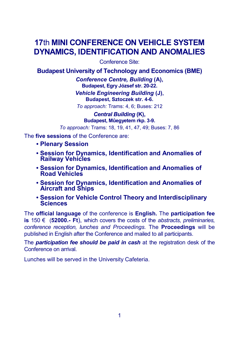## **17**th **MINI CONFERENCE ON VEHICLE SYSTEM DYNAMICS, IDENTIFICATION AND ANOMALIES**

Conference Site:

**Budapest University of Technology and Economics (BME)** 

*Conference Centre, Building* **(A), Budapest, Egry József str. 20-22.**

*Vehicle Engineering Building* **(J), Budapest, Sztoczek str. 4-6.**

*To approach:* Trams: 4, 6; Buses: 212

*Central Building* **(K), Budapest, Mûegyetem rkp. 3-9.**

*To approach:* Trams: 18, 19, 41, 47, 49; Buses: 7, 86

The **five sessions** of the Conference are:

- **• Plenary Session**
- **• Session for Dynamics, Identification and Anomalies of Railway Vehicles**
- **• Session for Dynamics, Identification and Anomalies of Road Vehicles**
- **• Session for Dynamics, Identification and Anomalies of Aircraft and Ships**
- **• Session for Vehicle Control Theory and Interdisciplinary Sciences**

The **official language** of the conference is **English.** The **participation fee is** 150 € (**52000.- Ft**), which covers the costs of the *abstracts, preliminaries, conference reception, lunches and Proceedings.* The **Proceedings** will be published in English after the Conference and mailed to all participants.

The *participation fee should be paid in cash* at the registration desk of the Conference on arrival.

Lunches will be served in the University Cafeteria.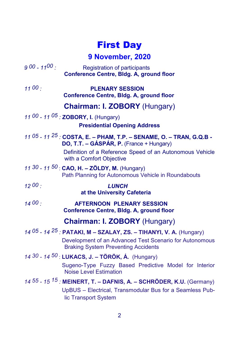## First Day

## **9 November, 2020**

| $900 - 1100$                         | <b>Registration of participants</b><br>Conference Centre, Bldg. A, ground floor                                                                                               |
|--------------------------------------|-------------------------------------------------------------------------------------------------------------------------------------------------------------------------------|
| 1100:                                | <b>PLENARY SESSION</b><br><b>Conference Centre, Bldg. A, ground floor</b>                                                                                                     |
| <b>Chairman: I. ZOBORY (Hungary)</b> |                                                                                                                                                                               |
|                                      | 11 00 - 11 05 : ZOBORY, I. (Hungary)                                                                                                                                          |
| <b>Presidential Opening Address</b>  |                                                                                                                                                                               |
|                                      | 11 05 - 11 $25$ : COSTA, E. - PHAM, T.P. - SENAME, O. - TRAN, G.Q.B -<br>DO, T.T. - GÁSPÁR, P. (France + Hungary)<br>Definition of a Reference Speed of an Autonomous Vehicle |
|                                      | with a Comfort Objective                                                                                                                                                      |
|                                      | 11 30 - 11 50 : CAO, H. - ZÖLDY, M. (Hungary)<br>Path Planning for Autonomous Vehicle in Roundabouts                                                                          |
| 1200:                                | <b>LUNCH</b><br>at the University Cafeteria                                                                                                                                   |
| 1400:                                | <b>AFTERNOON PLENARY SESSION</b><br><b>Conference Centre, Bldg. A, ground floor</b>                                                                                           |
|                                      | <b>Chairman: I. ZOBORY (Hungary)</b>                                                                                                                                          |
|                                      | 14 05 - 14 <sup>25</sup> : PATAKI, M - SZALAY, ZS. - TIHANYI, V. A. (Hungary)                                                                                                 |
|                                      | Development of an Advanced Test Scenario for Autonomous<br><b>Braking System Preventing Accidents</b>                                                                         |
|                                      | 14 30 - 14 50 : LUKACS, J. - TÖRÖK, Á. (Hungary)                                                                                                                              |
|                                      | Sugeno-Type Fuzzy Based Predictive Model for Interior<br><b>Noise Level Estimation</b>                                                                                        |
|                                      | 14 $55$ - 15 $15$ : MEINERT, T. - DAFNIS, A. - SCHRÖDER, K.U. (Germany)                                                                                                       |
|                                      | UpBUS - Electrical, Transmodular Bus for a Seamless Pub-<br>lic Transport System                                                                                              |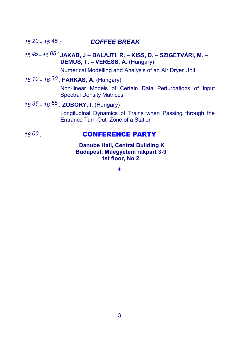### *15 20 - 15 45 : COFFEE BREAK*

#### *15 45 - 16 05 :* **JAKAB, J – BALAJTI, R. – KISS, D. – SZIGETVÁRI, M. – DEMUS, T. – VERESS, Á.** (Hungary)

Numerical Modelling and Analysis of an Air Dryer Unit

### *16 10 - 16 30 :* **FARKAS, A.** (Hungary)

Non-linear Models of Certain Data Perturbations of Input Spectral Density Matrices

## *16 35 - 16 55 :* **ZOBORY, I.** (Hungary)

Longitudinal Dynamics of Trains when Passing through the Entrance Turn-Out Zone of a Station

#### *18 00 :* **CONFERENCE PARTY**

 **Danube Hall, Central Building K Budapest, Műegyetem rakpart 3-9 1st floor, No 2.**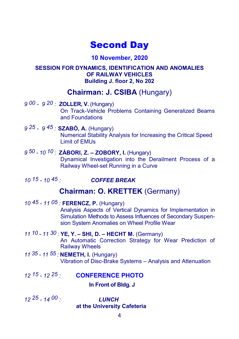## Second Day

#### **10 November, 2020**

#### **SESSION FOR DYNAMICS, IDENTIFICATION AND ANOMALIES OF RAILWAY VEHICLES Building J. floor 2, No 202**

## **Chairman: J. CSIBA** (Hungary)

- *9 00 9 20 :* **ZOLLER, V.** (Hungary) On Track-Vehicle Problems Containing Generalized Beams and Foundations
- *9 25 9 45 :* **SZABÓ, A.** (Hungary)

Numerical Stability Analysis for Increasing the Critical Speed Limit of EMUs

- *9 50 10 10 :* **ZÁBORI, Z. ZOBORY, I.** (Hungary) Dynamical Investigation into the Derailment Process of a Railway Wheel-set Running in a Curve
- *10 15 10 45 : COFFEE BREAK*

## **Chairman: O. KRETTEK** (Germany)

*10 45 - 11 05 :* **FERENCZ, P.** (Hungary)

Analysis Aspects of Vertical Dynamics for Implementation in Simulation Methods to Assess Influences of Secondary Suspension System Anomalies on Wheel Profile Wear

- *11 10 11 30 :* **YE, Y. SHI, D. – HECHT M.** (Germany) An Automatic Correction Strategy for Wear Prediction of Railway Wheels
- *11 35 11 55 :* **NEMETH, I.** (Hungary) Vibration of Disc-Brake Systems – Analysis and Attenuation
- *12 15 12 25 :* **CONFERENCE PHOTO**

#### **In Front of Bldg. J**

*12 25 - 14 00 : LUNCH*  **at the University Cafeteria**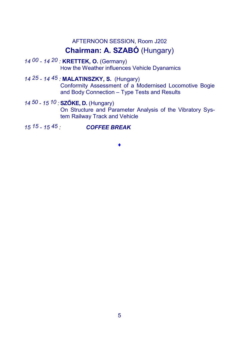## AFTERNOON SESSION, Room J202 **Chairman: A. SZABÓ** (Hungary)

*14 00 - 14 20 :* **KRETTEK, O.** (Germany) How the Weather influences Vehicle Dyanamics

#### *14 25 - 14 45 :* **MALATINSZKY, S.** (Hungary) Conformity Assessment of a Modernised Locomotive Bogie and Body Connection – Type Tests and Results

#### *14 50 - 15 10 :* **SZŐKE, D.** (Hungary)

On Structure and Parameter Analysis of the Vibratory System Railway Track and Vehicle

*15 15 - 15 45 : COFFEE BREAK*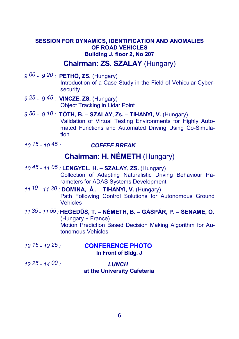#### **SESSION FOR DYNAMICS, IDENTIFICATION AND ANOMALIES OF ROAD VEHICLES Building J. floor 2, No 207**

#### **Chairman: ZS. SZALAY** (Hungary)

- *9 00 9 20 :* **PETHŐ, ZS.** (Hungary) Introduction of a Case Study in the Field of Vehicular Cybersecurity
- *9 25 9 45 :* **VINCZE, ZS.** (Hungary) Object Tracking in Lidar Point
- *9 50 9 10 :* **TÓTH, B. SZALAY**, **Zs. – TIHANYI, V.** (Hungary) Validation of Virtual Testing Environments for Highly Automated Functions and Automated Driving Using Co-Simulation
- *10 15 10 45 : COFFEE BREAK*

## **Chairman: H. NÉMETH** (Hungary)

- *10 45 11 05 :* **LENGYEL, H. SZALAY, ZS.** (Hungary) Collection of Adapting Naturalistic Driving Behaviour Parameters for ADAS Systems Development
- *11 10 11 30 :* **DOMINA, Á . TIHANYI, V.** (Hungary) Path Following Control Solutions for Autonomous Ground Vehicles
- *11 35 11 55 :* **HEGEDŰS, T. NÉMETH, B. – GÁSPÁR, P. – SENAME, O.**  (Hungary + France) Motion Prediction Based Decision Making Algorithm for Autonomous Vehicles
- *12 15 12 25 :* **CONFERENCE PHOTO In Front of Bldg. J**
- *12 25 14 00 : LUNCH*  **at the University Cafeteria**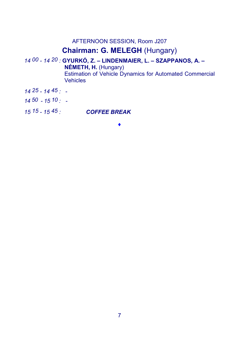AFTERNOON SESSION, Room J207

## **Chairman: G. MELEGH** (Hungary)

*14 00 - 14 20 :* **GYURKÓ, Z. – LINDENMAIER, L. – SZAPPANOS, A. – NÉMETH, H.** (Hungary) Estimation of Vehicle Dynamics for Automated Commercial Vehicles

- *14 25 14 45 :* -
- *14 50 15 10 :* -
- *15 15 15 45 : COFFEE BREAK*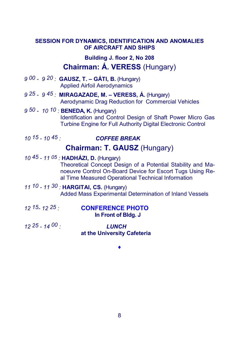#### **SESSION FOR DYNAMICS, IDENTIFICATION AND ANOMALIES OF AIRCRAFT AND SHIPS**

**Building J. floor 2, No 208** 

## **Chairman: Á. VERESS** (Hungary)

- *9 00 9 20 :* **GAUSZ, T. GÁTI, B.** (Hungary) Applied Airfoil Aerodynamics
- *9 25 9 45 :* **MIRAGAZADE, M. VERESS, Á.** (Hungary) Aerodynamic Drag Reduction for Commercial Vehicles
- *9 50 10 10 :* **BENEDA, K.** (Hungary) Identification and Control Design of Shaft Power Micro Gas Turbine Engine for Full Authority Digital Electronic Control
- 

#### *10 15 - 10 45 : COFFEE BREAK*

### **Chairman: T. GAUSZ** (Hungary)

- *10 45 11 05 :* **HADHÁZI, D.** (Hungary) Theoretical Concept Design of a Potential Stability and Manoeuvre Control On-Board Device for Escort Tugs Using Real Time Measured Operational Technical Information
- *11 10 11 30 :* **HARGITAI, CS.** (Hungary) Added Mass Experimental Determination of Inland Vessels

- *12 15- 12 25 :* **CONFERENCE PHOTO In Front of Bldg. J**
- *12 25 14 00 : LUNCH*  **at the University Cafeteria**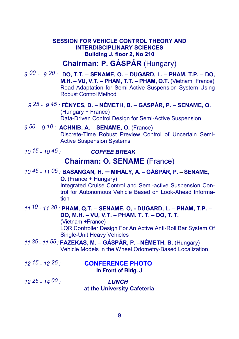#### **SESSION FOR VEHICLE CONTROL THEORY AND INTERDISCIPLINARY SCIENCES Building J. floor 2, No 210**

## **Chairman: P. GÁSPÁR** (Hungary)

*9 00 - 9 20 :* **DO, T.T. – SENAME, O. – DUGARD, L. – PHAM, T.P. – DO, M.H. – VU, V.T. – PHAM, T.T. – PHAM, Q.T.** (Vietnam+France) Road Adaptation for Semi-Active Suspension System Using Robust Control Method

*9 25 - 9 45 :* **FÉNYES, D. – NÉMETH, B. – GÁSPÁR, P. – SENAME, O.** (Hungary + France) Data-Driven Control Design for Semi-Active Suspension

*9 50 - 9 10 :* **ACHNIB, A. – SENAME, O.** (France) Discrete-Time Robust Preview Control of Uncertain Semi-Active Suspension Systems

*10 15 - 10 45 : COFFEE BREAK* 

#### **Chairman: O. SENAME** (France)

#### *10 45 - 11 05 :* **BASANGAN, H. – MIHÁLY, A. – GÁSPÁR, P. – SENAME, O.** (France + Hungary) Integrated Cruise Control and Semi-active Suspension Control for Autonomous Vehicle Based on Look-Ahead Information

#### *11 10 - 11 30 :* **PHAM, Q.T. – SENAME, O, - DUGARD, L. – PHAM, T.P. – DO, M.H. – VU, V.T. – PHAM. T. T. – DO, T. T.**

(Vietnam +France) LQR Controller Design For An Active Anti-Roll Bar System Of Single-Unit Heavy Vehicles

- *11 35 11 55 :* **FAZEKAS, M. GÁSPÁR, P. –NÉMETH, B.** (Hungary) Vehicle Models in the Wheel Odometry-Based Localization
- *12 15 12 25 :* **CONFERENCE PHOTO In Front of Bldg. J**
- *12 25 14 00 : LUNCH*  **at the University Cafeteria**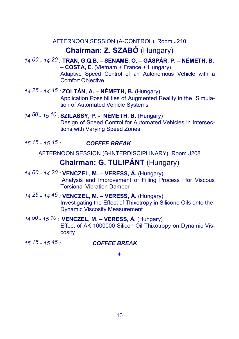## AFTERNOON SESSION (A-CONTROL), Room J210 **Chairman: Z. SZABÓ** (Hungary)

- *14 00 14 20 :* **TRAN, G.Q.B. – SENAME, O. – GÁSPÁR, P. – NÉMETH, B. – COSTA, E.** (Vietnam + France + Hungary) Adaptive Speed Control of an Autonomous Vehicle with a Comfort Objective
- *14 25 14 45 :* **ZOLTÁN, A. – NÉMETH, B.** (Hungary) Application Possibilities of Augmented Reality in the Simulation of Automated Vehicle Systems
- *14 50 15 10 :* **SZILASSY, P. - NÉMETH, B.** (Hungary) Design of Speed Control for Automated Vehicles in Intersections with Varying Speed Zones
- *15 15 15 45 : COFFEE BREAK*

AFTERNOON SESSION (B-INTERDISCIPLINARY), Room J208

## **Chairman: G. TULIPÁNT** (Hungary)

- *14 00 14 20 :* **VENCZEL, M. VERESS, Á.** (Hungary) Analysis and Improvement of Filling Process for Viscous Torsional Vibration Damper
- *14 25 14 45 :* **VENCZEL, M. – VERESS, Á.** (Hungary) Investigating the Effect of Thixotropy in Silicone Oils onto the Dynamic Viscosity Measurement
- *14 50 15 10 :* **VENCZEL, M. – VERESS, Á.** (Hungary) Effect of AK 1000000 Silicon Oil Thixotropy on Dynamic Viscosity

#### *15 15 - 15 45 : COFFEE BREAK*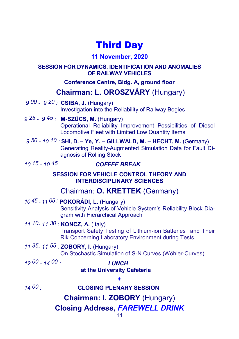## Third Day

### **11 November, 2020**

#### **SESSION FOR DYNAMICS, IDENTIFICATION AND ANOMALIES OF RAILWAY VEHICLES**

#### **Conference Centre, Bldg. A, ground floor**

## **Chairman: L. OROSZVÁRY** (Hungary)

- *9 00 9 20 :* **CSIBA, J.** (Hungary) Investigation into the Reliability of Railway Bogies
- *9 25 9 45 :* **M**-**SZŰCS, M.** (Hungary) Operational Reliability Improvement Possibilities of Diesel Locomotive Fleet with Limited Low Quantity Items
- *9 50 10 10 :* **SHI, D. – Ye, Y. – GILLWALD, M. – HECHT, M.** (Germany) Generating Reality-Augmented Simulation Data for Fault Diagnosis of Rolling Stock
- 

#### *10 15 - 10 45 COFFEE BREAK*

#### **SESSION FOR VEHICLE CONTROL THEORY AND INTERDISCIPLINARY SCIENCES**

## Chairman: **O. KRETTEK** (Germany)

#### *10 45 - 11 05 :* **POKORÁDI, L.** (Hungary)

Sensitivity Analysis of Vehicle System's Reliability Block Diagram with Hierarchical Approach

## *11 10- 11 30 :* **KONCZ, A.** (Italy)

Transport Safety Testing of Lithium-ion Batteries and Their Rik Concerning Laboratory Environment during Tests

## *11 35- 11 55 :* **ZOBORY, I.** (Hungary)

On Stochastic Simulation of S-N Curves (Wöhler-Curves)

*12 00 - 14 00 : LUNCH*

## **at the University Cafeteria**

### *14 00 :* **CLOSING PLENARY SESSION**

**Chairman: I. ZOBORY** (Hungary)

 $\blacklozenge$ 

## **Closing Address,** *FAREWELL DRINK*